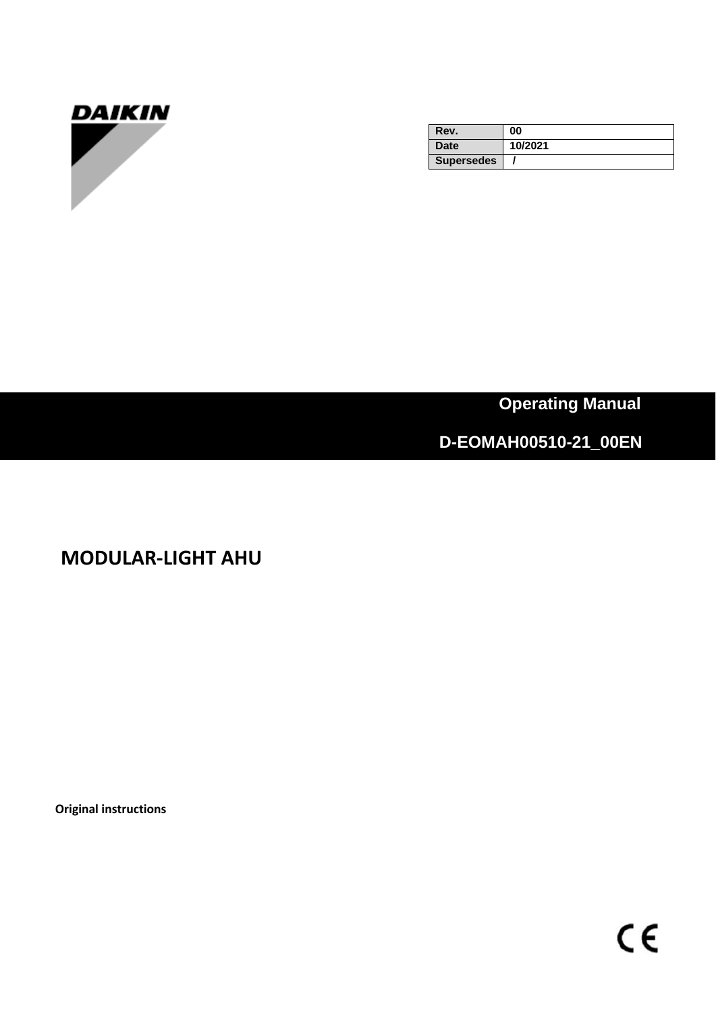

| Rev.              | 00      |
|-------------------|---------|
| <b>Date</b>       | 10/2021 |
| <b>Supersedes</b> |         |

 **Operating Manual**

# **D-EOMAH00510-21\_00EN**

**MODULAR-LIGHT AHU**

**Original instructions**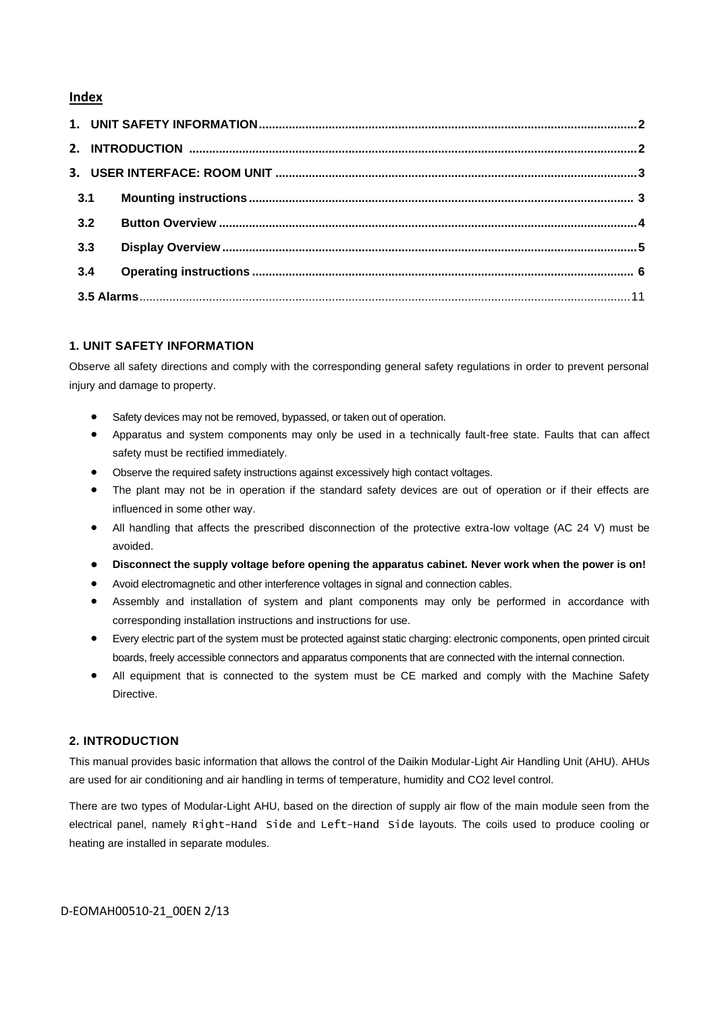## **Index**

| 3.1 |  |  |  |
|-----|--|--|--|
| 3.2 |  |  |  |
| 3.3 |  |  |  |
| 3.4 |  |  |  |
|     |  |  |  |

## **1. UNIT SAFETY INFORMATION**

Observe all safety directions and comply with the corresponding general safety regulations in order to prevent personal injury and damage to property.

- Safety devices may not be removed, bypassed, or taken out of operation.
- Apparatus and system components may only be used in a technically fault-free state. Faults that can affect safety must be rectified immediately.
- Observe the required safety instructions against excessively high contact voltages.
- The plant may not be in operation if the standard safety devices are out of operation or if their effects are influenced in some other way.
- All handling that affects the prescribed disconnection of the protective extra-low voltage (AC 24 V) must be avoided.
- **Disconnect the supply voltage before opening the apparatus cabinet. Never work when the power is on!**
- Avoid electromagnetic and other interference voltages in signal and connection cables.
- Assembly and installation of system and plant components may only be performed in accordance with corresponding installation instructions and instructions for use.
- Every electric part of the system must be protected against static charging: electronic components, open printed circuit boards, freely accessible connectors and apparatus components that are connected with the internal connection.
- All equipment that is connected to the system must be CE marked and comply with the Machine Safety Directive.

### **2. INTRODUCTION**

This manual provides basic information that allows the control of the Daikin Modular-Light Air Handling Unit (AHU). AHUs are used for air conditioning and air handling in terms of temperature, humidity and CO2 level control.

There are two types of Modular-Light AHU, based on the direction of supply air flow of the main module seen from the electrical panel, namely Right-Hand Side and Left-Hand Side layouts. The coils used to produce cooling or heating are installed in separate modules.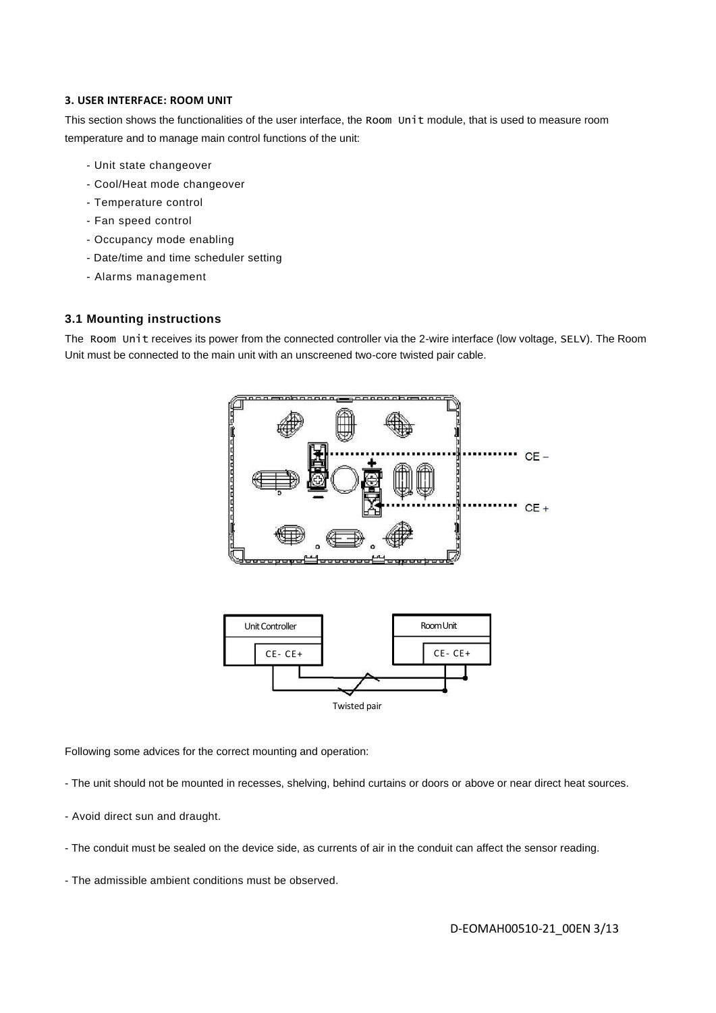### **3. USER INTERFACE: ROOM UNIT**

This section shows the functionalities of the user interface, the Room Unit module, that is used to measure room temperature and to manage main control functions of the unit:

- Unit state changeover
- Cool/Heat mode changeover
- Temperature control
- Fan speed control
- Occupancy mode enabling
- Date/time and time scheduler setting
- Alarms management

### **3.1 Mounting instructions**

The Room Unit receives its power from the connected controller via the 2-wire interface (low voltage, SELV). The Room Unit must be connected to the main unit with an unscreened two-core twisted pair cable.



Following some advices for the correct mounting and operation:

- The unit should not be mounted in recesses, shelving, behind curtains or doors or above or near direct heat sources.
- Avoid direct sun and draught.
- The conduit must be sealed on the device side, as currents of air in the conduit can affect the sensor reading.
- The admissible ambient conditions must be observed.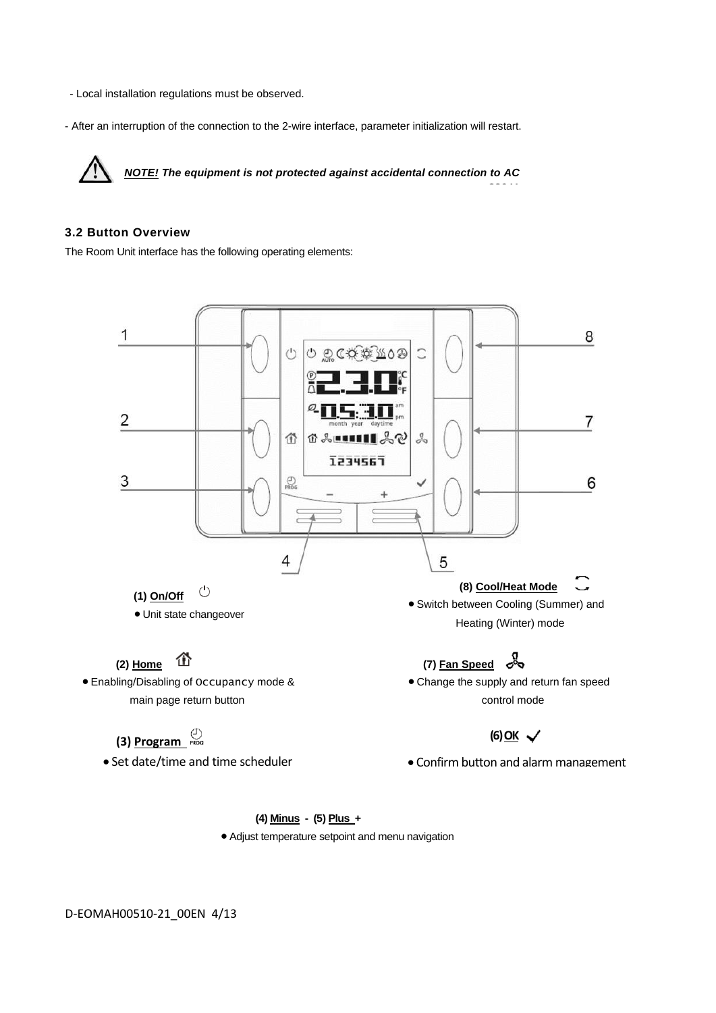- Local installation regulations must be observed.
- After an interruption of the connection to the 2-wire interface, parameter initialization will restart.

*NOTE! The equipment is not protected against accidental connection to AC 230 V.*

## **3.2 Button Overview**

The Room Unit interface has the following operating elements:



## **(4) Minus - (5) Plus +**

• Adjust temperature setpoint and menu navigation

D-EOMAH00510-21\_00EN 4/13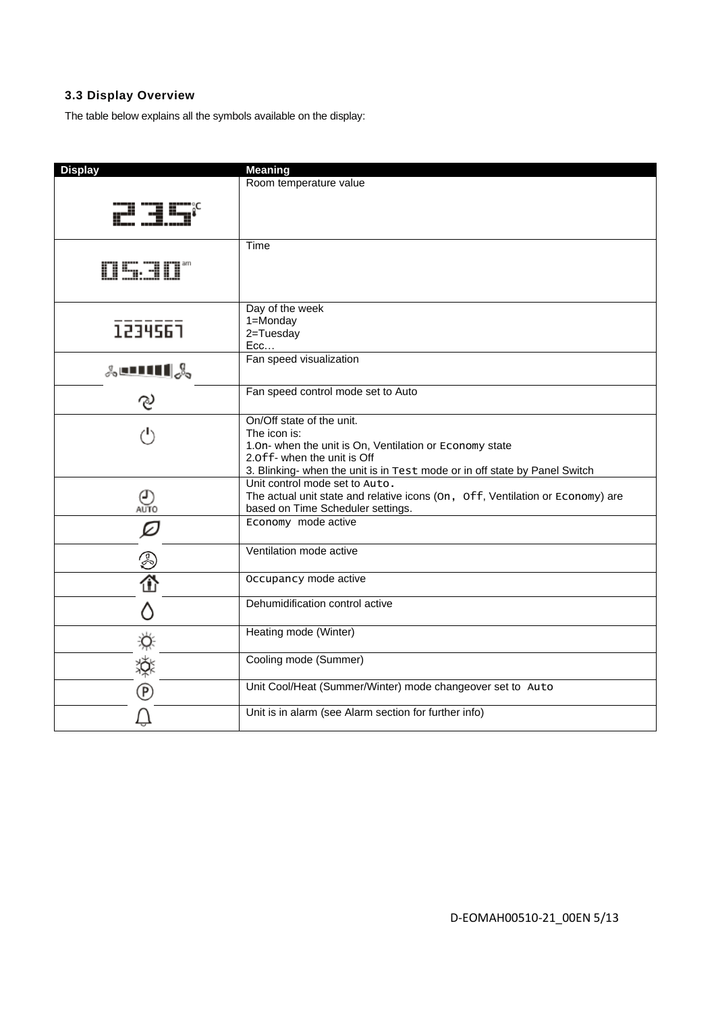## **3.3 Display Overview**

The table below explains all the symbols available on the display:

| <b>Display</b>           | <b>Meaning</b>                                                                 |
|--------------------------|--------------------------------------------------------------------------------|
|                          | Room temperature value                                                         |
|                          |                                                                                |
|                          |                                                                                |
|                          | Time                                                                           |
| 0530*                    |                                                                                |
|                          | Day of the week                                                                |
|                          | 1=Monday                                                                       |
| 1234567                  | 2=Tuesday                                                                      |
|                          | Ecc                                                                            |
| $\lambda$ enti $\lambda$ | Fan speed visualization                                                        |
| ೪                        | Fan speed control mode set to Auto                                             |
|                          | On/Off state of the unit.                                                      |
| (ام                      | The icon is:                                                                   |
|                          | 1.0n- when the unit is On, Ventilation or Economy state                        |
|                          | 2.0ff- when the unit is Off                                                    |
|                          | 3. Blinking- when the unit is in Test mode or in off state by Panel Switch     |
|                          | Unit control mode set to Auto.                                                 |
| O)<br>auto               | The actual unit state and relative icons (On, Off, Ventilation or Economy) are |
|                          | based on Time Scheduler settings.                                              |
| ☑                        | Economy mode active                                                            |
|                          | Ventilation mode active                                                        |
| ②<br>企                   | Occupancy mode active                                                          |
|                          | Dehumidification control active                                                |
|                          | Heating mode (Winter)                                                          |
| 田 葵の                     | Cooling mode (Summer)                                                          |
|                          | Unit Cool/Heat (Summer/Winter) mode changeover set to Auto                     |
|                          | Unit is in alarm (see Alarm section for further info)                          |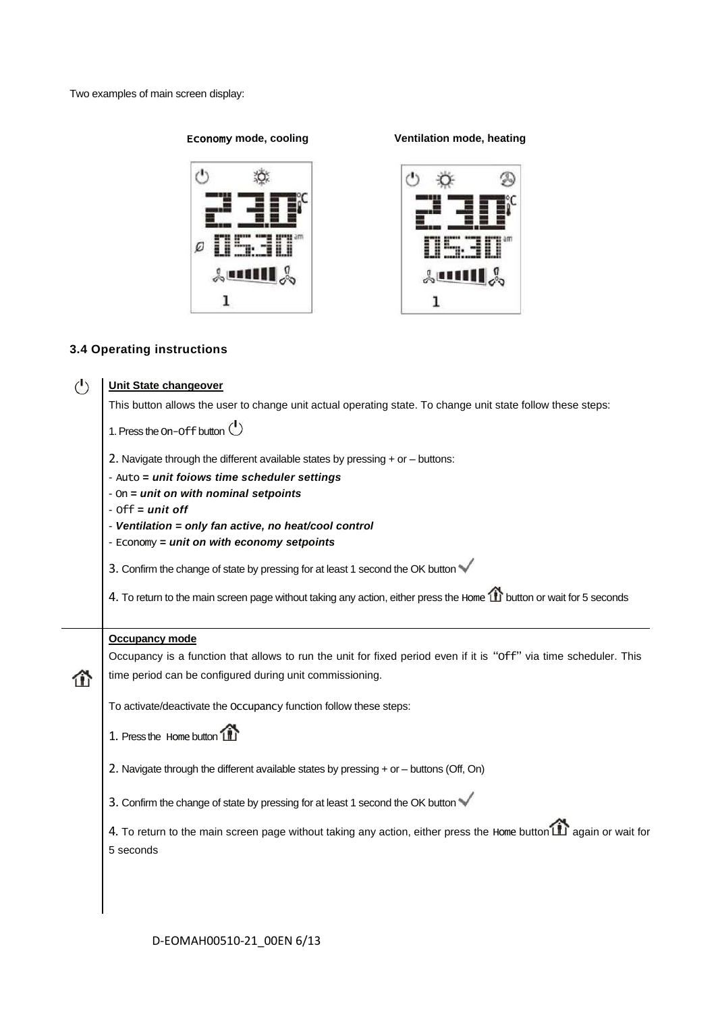Two examples of main screen display:

# $^{\prime}$ 敚 Ø  $\text{Im}\Pi\text{S}$  $\mathbf 1$

Economy **mode, cooling Ventilation mode, heating**



## **3.4 Operating instructions**

| $\mathcal{L}$                                                                                               | <b>Unit State changeover</b>                                                                                         |  |  |
|-------------------------------------------------------------------------------------------------------------|----------------------------------------------------------------------------------------------------------------------|--|--|
| This button allows the user to change unit actual operating state. To change unit state follow these steps: |                                                                                                                      |  |  |
|                                                                                                             | 1. Press the On-Off button $\bigcirc$                                                                                |  |  |
|                                                                                                             | 2. Navigate through the different available states by pressing $+$ or $-$ buttons:                                   |  |  |
|                                                                                                             | - Auto = unit foiows time scheduler settings                                                                         |  |  |
|                                                                                                             | - On = unit on with nominal setpoints<br>$-$ Off = unit off                                                          |  |  |
| - Ventilation = only fan active, no heat/cool control                                                       |                                                                                                                      |  |  |
|                                                                                                             | - Economy = unit on with economy setpoints                                                                           |  |  |
|                                                                                                             | 3. Confirm the change of state by pressing for at least 1 second the OK button                                       |  |  |
|                                                                                                             | 4. To return to the main screen page without taking any action, either press the Home 1 button or wait for 5 seconds |  |  |
|                                                                                                             | <b>Occupancy mode</b>                                                                                                |  |  |
|                                                                                                             | Occupancy is a function that allows to run the unit for fixed period even if it is "Off" via time scheduler. This    |  |  |
| ⋒                                                                                                           | time period can be configured during unit commissioning.                                                             |  |  |
|                                                                                                             | To activate/deactivate the Occupancy function follow these steps:                                                    |  |  |
|                                                                                                             | 1. Press the Home button                                                                                             |  |  |
|                                                                                                             | 2. Navigate through the different available states by pressing + or - buttons (Off, On)                              |  |  |
|                                                                                                             | 3. Confirm the change of state by pressing for at least 1 second the OK button                                       |  |  |
|                                                                                                             | 4. To return to the main screen page without taking any action, either press the Home button [11] again or wait for  |  |  |
|                                                                                                             | 5 seconds                                                                                                            |  |  |
|                                                                                                             |                                                                                                                      |  |  |
|                                                                                                             |                                                                                                                      |  |  |
|                                                                                                             |                                                                                                                      |  |  |

D-EOMAH00510-21\_00EN 6/13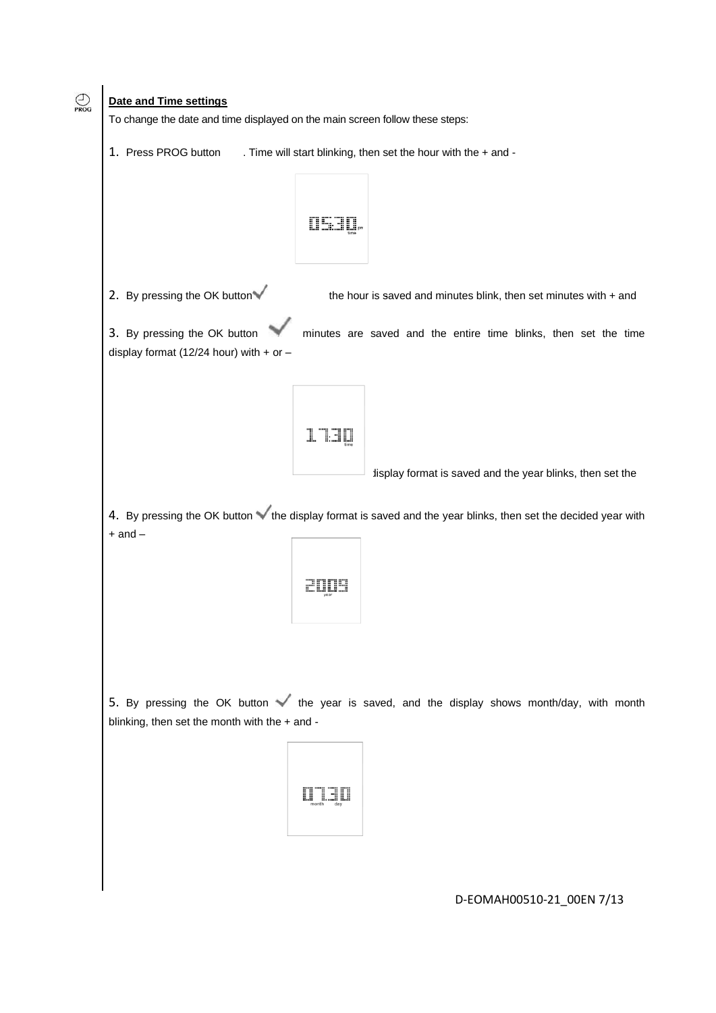

D-EOMAH00510-21\_00EN 7/13

## $\bigodot$ <br>PROG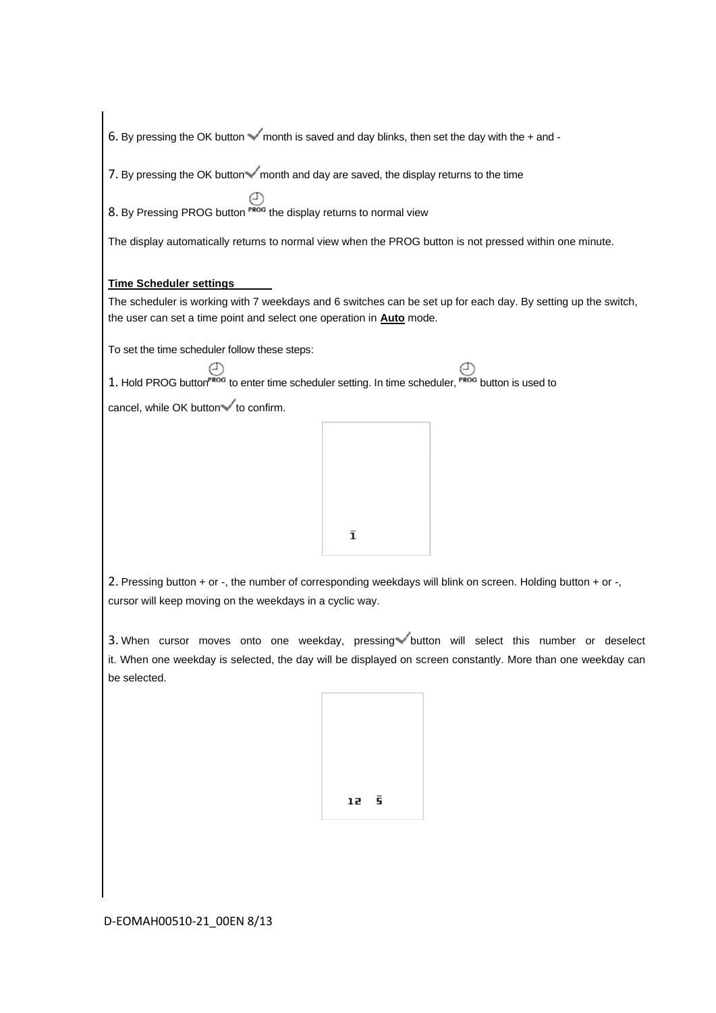6. By pressing the OK button  $\checkmark$  month is saved and day blinks, then set the day with the + and -

7. By pressing the OK button  $\checkmark$  month and day are saved, the display returns to the time

8. By Pressing PROG button  $\bigoplus$ <sup>PROG</sup> the display returns to normal view

The display automatically returns to normal view when the PROG button is not pressed within one minute.

### **Time Scheduler settings**

The scheduler is working with 7 weekdays and 6 switches can be set up for each day. By setting up the switch, the user can set a time point and select one operation in **Auto** mode.

To set the time scheduler follow these steps:

1. Hold PROG button<sup>PROG</sup> to enter time scheduler setting. In time scheduler,  $P_{R0G}$  button is used to

cancel, while OK button $\checkmark$  to confirm.



2. Pressing button + or -, the number of corresponding weekdays will blink on screen. Holding button + or -, cursor will keep moving on the weekdays in a cyclic way.

3. When cursor moves onto one weekday, pressing button will select this number or deselect it. When one weekday is selected, the day will be displayed on screen constantly. More than one weekday can be selected.

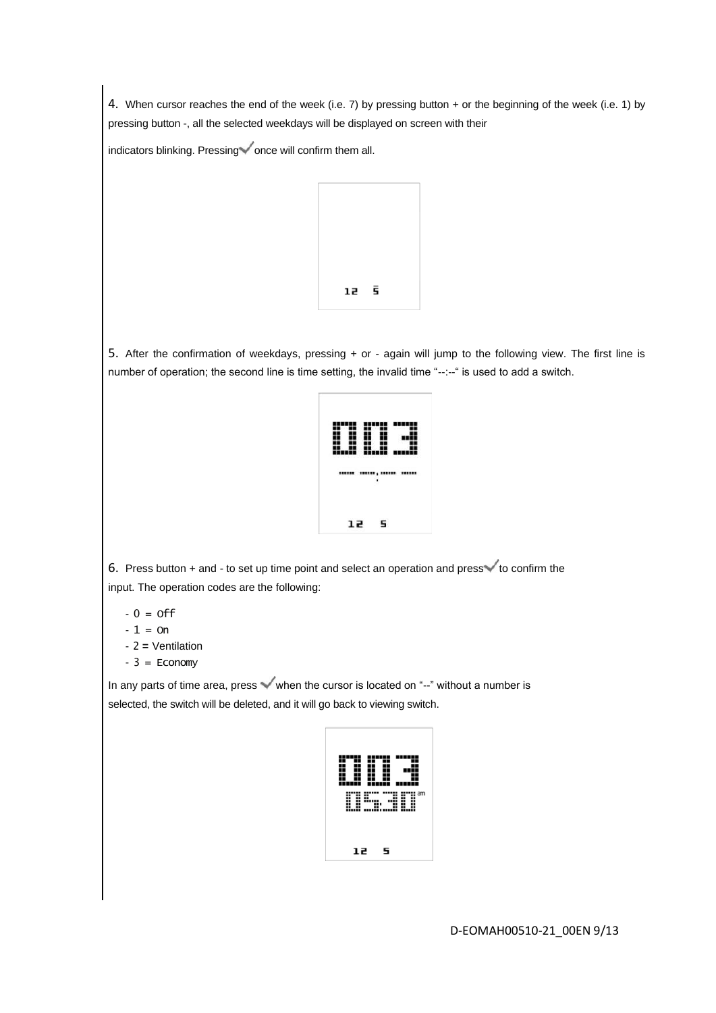4. When cursor reaches the end of the week (i.e. 7) by pressing button + or the beginning of the week (i.e. 1) by pressing button -, all the selected weekdays will be displayed on screen with their

indicators blinking. Pressing  $\checkmark$  once will confirm them all.



5. After the confirmation of weekdays, pressing + or - again will jump to the following view. The first line is number of operation; the second line is time setting, the invalid time "--:--" is used to add a switch.



6. Press button  $+$  and  $-$  to set up time point and select an operation and press  $\checkmark$  to confirm the input. The operation codes are the following:

 $-0 =$  off

 $-1 = 0n$ 

- 2 *=* Ventilation
- $-3$  = Economy

In any parts of time area, press  $\checkmark$  when the cursor is located on "--" without a number is selected, the switch will be deleted, and it will go back to viewing switch.



D-EOMAH00510-21\_00EN 9/13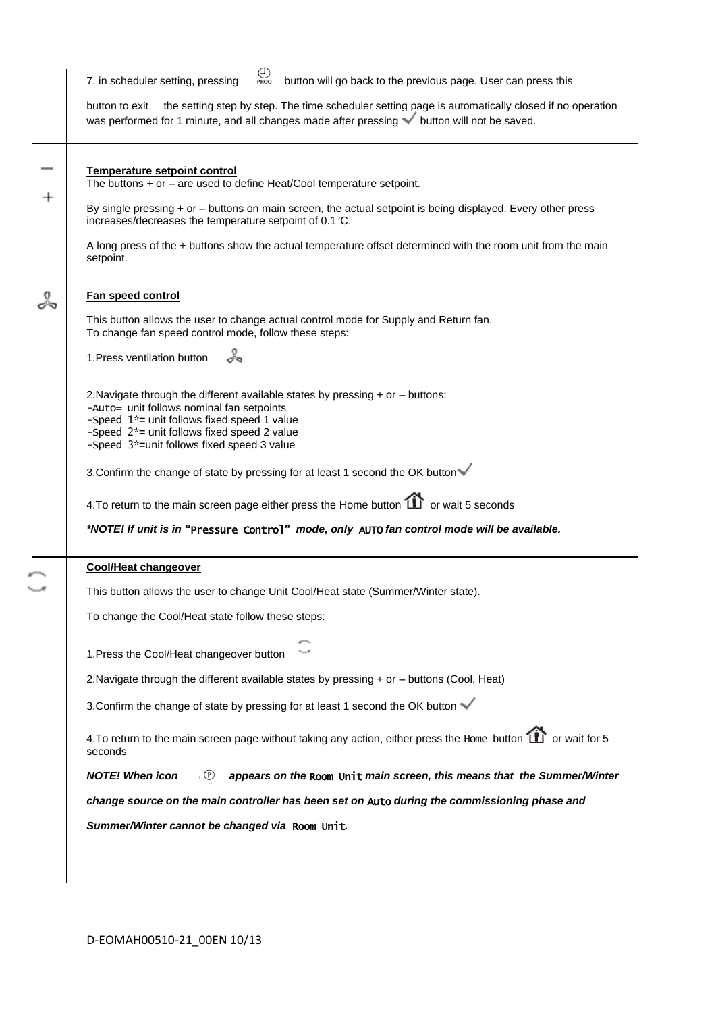| button will go back to the previous page. User can press this<br>7. in scheduler setting, pressing<br>PROG                                                                                                                                                                               |  |  |
|------------------------------------------------------------------------------------------------------------------------------------------------------------------------------------------------------------------------------------------------------------------------------------------|--|--|
| the setting step by step. The time scheduler setting page is automatically closed if no operation<br>button to exit<br>was performed for 1 minute, and all changes made after pressing v button will not be saved.                                                                       |  |  |
| <b>Temperature setpoint control</b><br>The buttons $+$ or $-$ are used to define Heat/Cool temperature setpoint.                                                                                                                                                                         |  |  |
| By single pressing + or - buttons on main screen, the actual setpoint is being displayed. Every other press<br>increases/decreases the temperature setpoint of 0.1°C.                                                                                                                    |  |  |
| A long press of the + buttons show the actual temperature offset determined with the room unit from the main<br>setpoint.                                                                                                                                                                |  |  |
| Fan speed control                                                                                                                                                                                                                                                                        |  |  |
| This button allows the user to change actual control mode for Supply and Return fan.<br>To change fan speed control mode, follow these steps:                                                                                                                                            |  |  |
| 1. Press ventilation button                                                                                                                                                                                                                                                              |  |  |
| 2. Navigate through the different available states by pressing $+$ or $-$ buttons:<br>-Auto= unit follows nominal fan setpoints<br>-Speed 1 <sup>*</sup> = unit follows fixed speed 1 value<br>-Speed 2*= unit follows fixed speed 2 value<br>-Speed 3*=unit follows fixed speed 3 value |  |  |
| 3. Confirm the change of state by pressing for at least 1 second the OK button                                                                                                                                                                                                           |  |  |
| 4. To return to the main screen page either press the Home button <b>11</b> or wait 5 seconds                                                                                                                                                                                            |  |  |
| *NOTE! If unit is in "Pressure Control" mode, only AUTO fan control mode will be available.                                                                                                                                                                                              |  |  |
| <b>Cool/Heat changeover</b>                                                                                                                                                                                                                                                              |  |  |
| This button allows the user to change Unit Cool/Heat state (Summer/Winter state).                                                                                                                                                                                                        |  |  |
| To change the Cool/Heat state follow these steps:                                                                                                                                                                                                                                        |  |  |
| 1. Press the Cool/Heat changeover button                                                                                                                                                                                                                                                 |  |  |
| 2. Navigate through the different available states by pressing + or - buttons (Cool, Heat)                                                                                                                                                                                               |  |  |
| 3. Confirm the change of state by pressing for at least 1 second the OK button                                                                                                                                                                                                           |  |  |
| 4. To return to the main screen page without taking any action, either press the Home button $\Box$ or wait for 5<br>seconds                                                                                                                                                             |  |  |
| appears on the Room Unit main screen, this means that the Summer/Winter<br>,  (P)<br><b>NOTE!</b> When icon                                                                                                                                                                              |  |  |
| change source on the main controller has been set on Auto during the commissioning phase and                                                                                                                                                                                             |  |  |
|                                                                                                                                                                                                                                                                                          |  |  |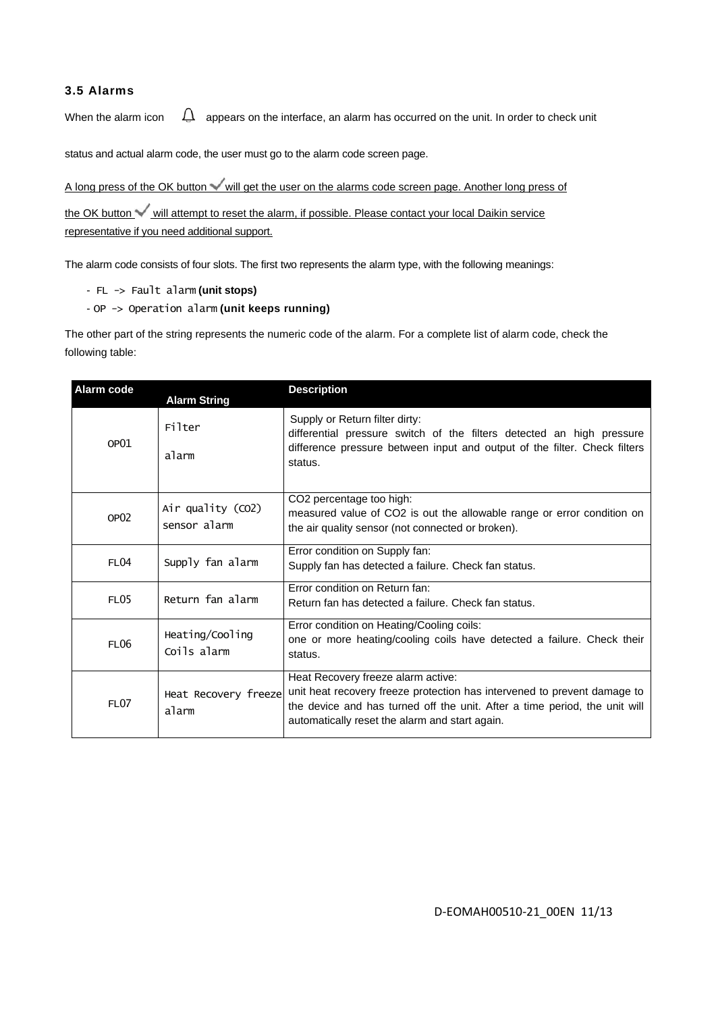## **3.5 Alarms**

When the alarm icon  $\Box$  appears on the interface, an alarm has occurred on the unit. In order to check unit

status and actual alarm code, the user must go to the alarm code screen page.

A long press of the OK button will get the user on the alarms code screen page. Another long press of

the OK button will attempt to reset the alarm, if possible. Please contact your local Daikin service representative if you need additional support.

The alarm code consists of four slots. The first two represents the alarm type, with the following meanings:

```
- FL -> Fault alarm (unit stops)
```
- OP -> Operation alarm **(unit keeps running)**

The other part of the string represents the numeric code of the alarm. For a complete list of alarm code, check the following table:

| Alarm code       | <b>Alarm String</b>               | <b>Description</b>                                                                                                                                                                                                                                                  |
|------------------|-----------------------------------|---------------------------------------------------------------------------------------------------------------------------------------------------------------------------------------------------------------------------------------------------------------------|
|                  | Filter                            | Supply or Return filter dirty:<br>differential pressure switch of the filters detected an high pressure                                                                                                                                                             |
| OP <sub>01</sub> | alarm                             | difference pressure between input and output of the filter. Check filters<br>status.                                                                                                                                                                                |
| OP <sub>02</sub> | Air quality (CO2)<br>sensor alarm | CO2 percentage too high:<br>measured value of CO2 is out the allowable range or error condition on<br>the air quality sensor (not connected or broken).                                                                                                             |
| FL <sub>04</sub> | Supply fan alarm                  | Error condition on Supply fan:<br>Supply fan has detected a failure. Check fan status.                                                                                                                                                                              |
| <b>FL05</b>      | Return fan alarm                  | Error condition on Return fan:<br>Return fan has detected a failure. Check fan status.                                                                                                                                                                              |
| FL <sub>06</sub> | Heating/Cooling<br>Coils alarm    | Error condition on Heating/Cooling coils:<br>one or more heating/cooling coils have detected a failure. Check their<br>status.                                                                                                                                      |
| <b>FL07</b>      | alarm                             | Heat Recovery freeze alarm active:<br>Heat Recovery freeze unit heat recovery freeze protection has intervened to prevent damage to<br>the device and has turned off the unit. After a time period, the unit will<br>automatically reset the alarm and start again. |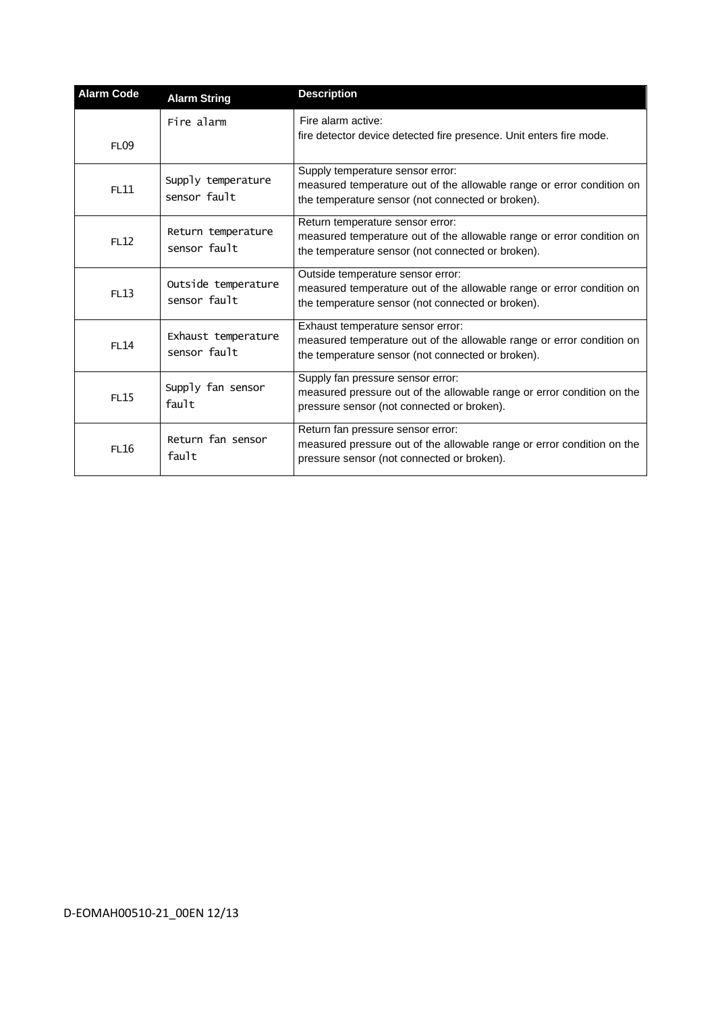| <b>Alarm Code</b> | <b>Alarm String</b>                 | <b>Description</b>                                                                                                                                              |
|-------------------|-------------------------------------|-----------------------------------------------------------------------------------------------------------------------------------------------------------------|
| <b>FL09</b>       | Fire alarm                          | Fire alarm active:<br>fire detector device detected fire presence. Unit enters fire mode.                                                                       |
| FL11              | Supply temperature<br>sensor fault  | Supply temperature sensor error:<br>measured temperature out of the allowable range or error condition on<br>the temperature sensor (not connected or broken).  |
| FL12              | Return temperature<br>sensor fault  | Return temperature sensor error:<br>measured temperature out of the allowable range or error condition on<br>the temperature sensor (not connected or broken).  |
| FL13              | Outside temperature<br>sensor fault | Outside temperature sensor error:<br>measured temperature out of the allowable range or error condition on<br>the temperature sensor (not connected or broken). |
| <b>FL14</b>       | Exhaust temperature<br>sensor fault | Exhaust temperature sensor error:<br>measured temperature out of the allowable range or error condition on<br>the temperature sensor (not connected or broken). |
| <b>FL15</b>       | Supply fan sensor<br>fault          | Supply fan pressure sensor error:<br>measured pressure out of the allowable range or error condition on the<br>pressure sensor (not connected or broken).       |
| FL16              | Return fan sensor<br>fault          | Return fan pressure sensor error:<br>measured pressure out of the allowable range or error condition on the<br>pressure sensor (not connected or broken).       |